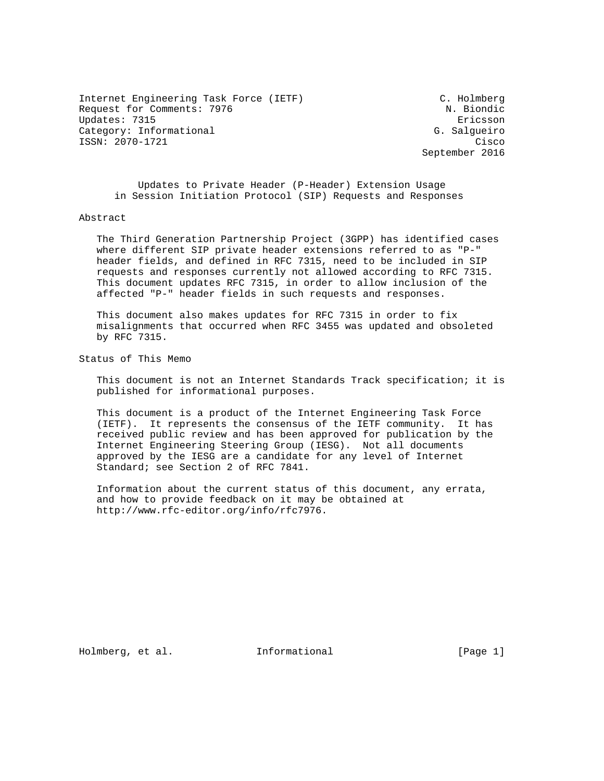Internet Engineering Task Force (IETF) C. Holmberg Request for Comments: 7976 N. Biondic Updates: 7315 Ericsson Category: Informational G. Salgueiro ISSN: 2070-1721 Cisco

September 2016

 Updates to Private Header (P-Header) Extension Usage in Session Initiation Protocol (SIP) Requests and Responses

#### Abstract

 The Third Generation Partnership Project (3GPP) has identified cases where different SIP private header extensions referred to as "P-" header fields, and defined in RFC 7315, need to be included in SIP requests and responses currently not allowed according to RFC 7315. This document updates RFC 7315, in order to allow inclusion of the affected "P-" header fields in such requests and responses.

 This document also makes updates for RFC 7315 in order to fix misalignments that occurred when RFC 3455 was updated and obsoleted by RFC 7315.

Status of This Memo

 This document is not an Internet Standards Track specification; it is published for informational purposes.

 This document is a product of the Internet Engineering Task Force (IETF). It represents the consensus of the IETF community. It has received public review and has been approved for publication by the Internet Engineering Steering Group (IESG). Not all documents approved by the IESG are a candidate for any level of Internet Standard; see Section 2 of RFC 7841.

 Information about the current status of this document, any errata, and how to provide feedback on it may be obtained at http://www.rfc-editor.org/info/rfc7976.

Holmberg, et al. 1nformational [Page 1]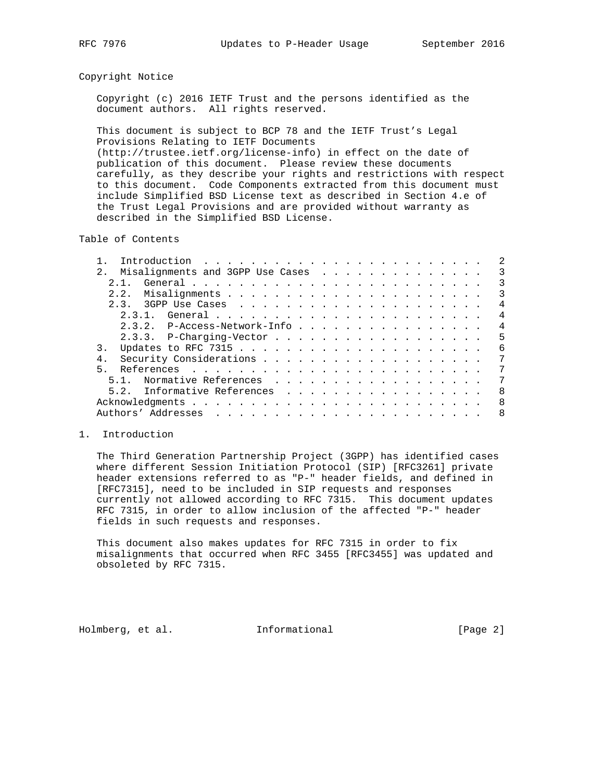### Copyright Notice

 Copyright (c) 2016 IETF Trust and the persons identified as the document authors. All rights reserved.

 This document is subject to BCP 78 and the IETF Trust's Legal Provisions Relating to IETF Documents (http://trustee.ietf.org/license-info) in effect on the date of publication of this document. Please review these documents carefully, as they describe your rights and restrictions with respect to this document. Code Components extracted from this document must include Simplified BSD License text as described in Section 4.e of the Trust Legal Provisions and are provided without warranty as described in the Simplified BSD License.

Table of Contents

|                                       | 2              |
|---------------------------------------|----------------|
| 2. Misalignments and 3GPP Use Cases 3 |                |
| 2.1.                                  | 3              |
| 2.2.                                  | 3              |
|                                       | 4              |
|                                       | 4              |
| 2.3.2. P-Access-Network-Info          | $\overline{4}$ |
|                                       | 5              |
|                                       | 6              |
|                                       | 7              |
| 5                                     | 7              |
| 5.1. Normative References             | 7              |
| 5.2. Informative References           | - 8            |
|                                       | - 8            |
|                                       | -8             |
|                                       |                |

# 1. Introduction

 The Third Generation Partnership Project (3GPP) has identified cases where different Session Initiation Protocol (SIP) [RFC3261] private header extensions referred to as "P-" header fields, and defined in [RFC7315], need to be included in SIP requests and responses currently not allowed according to RFC 7315. This document updates RFC 7315, in order to allow inclusion of the affected "P-" header fields in such requests and responses.

 This document also makes updates for RFC 7315 in order to fix misalignments that occurred when RFC 3455 [RFC3455] was updated and obsoleted by RFC 7315.

Holmberg, et al. Informational [Page 2]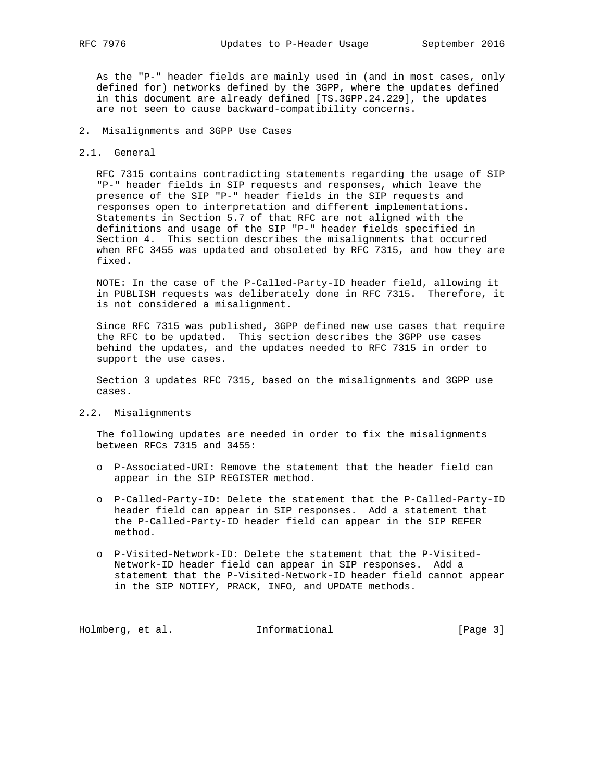As the "P-" header fields are mainly used in (and in most cases, only defined for) networks defined by the 3GPP, where the updates defined in this document are already defined [TS.3GPP.24.229], the updates are not seen to cause backward-compatibility concerns.

- 2. Misalignments and 3GPP Use Cases
- 2.1. General

 RFC 7315 contains contradicting statements regarding the usage of SIP "P-" header fields in SIP requests and responses, which leave the presence of the SIP "P-" header fields in the SIP requests and responses open to interpretation and different implementations. Statements in Section 5.7 of that RFC are not aligned with the definitions and usage of the SIP "P-" header fields specified in Section 4. This section describes the misalignments that occurred when RFC 3455 was updated and obsoleted by RFC 7315, and how they are fixed.

 NOTE: In the case of the P-Called-Party-ID header field, allowing it in PUBLISH requests was deliberately done in RFC 7315. Therefore, it is not considered a misalignment.

 Since RFC 7315 was published, 3GPP defined new use cases that require the RFC to be updated. This section describes the 3GPP use cases behind the updates, and the updates needed to RFC 7315 in order to support the use cases.

 Section 3 updates RFC 7315, based on the misalignments and 3GPP use cases.

2.2. Misalignments

 The following updates are needed in order to fix the misalignments between RFCs 7315 and 3455:

- o P-Associated-URI: Remove the statement that the header field can appear in the SIP REGISTER method.
- o P-Called-Party-ID: Delete the statement that the P-Called-Party-ID header field can appear in SIP responses. Add a statement that the P-Called-Party-ID header field can appear in the SIP REFER method.
- o P-Visited-Network-ID: Delete the statement that the P-Visited- Network-ID header field can appear in SIP responses. Add a statement that the P-Visited-Network-ID header field cannot appear in the SIP NOTIFY, PRACK, INFO, and UPDATE methods.

Holmberg, et al. 1nformational 1999 [Page 3]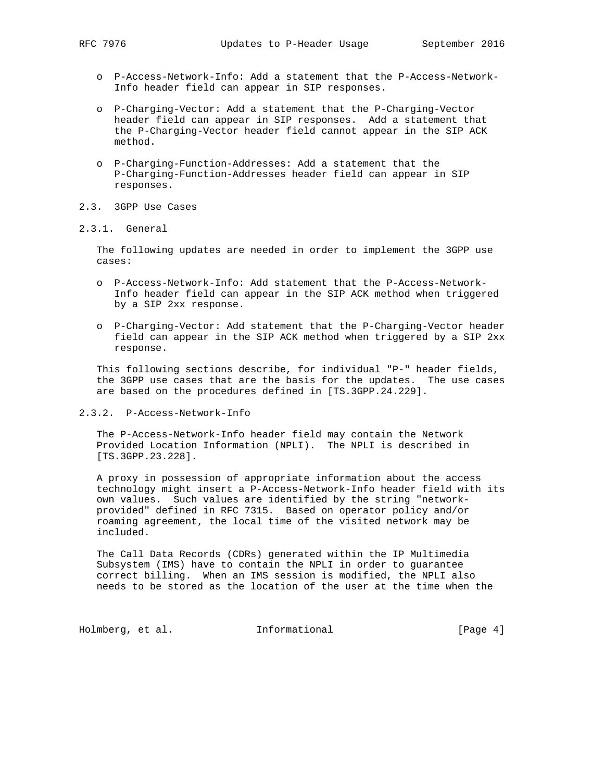- o P-Access-Network-Info: Add a statement that the P-Access-Network- Info header field can appear in SIP responses.
- o P-Charging-Vector: Add a statement that the P-Charging-Vector header field can appear in SIP responses. Add a statement that the P-Charging-Vector header field cannot appear in the SIP ACK method.
- o P-Charging-Function-Addresses: Add a statement that the P-Charging-Function-Addresses header field can appear in SIP responses.
- 2.3. 3GPP Use Cases
- 2.3.1. General

 The following updates are needed in order to implement the 3GPP use cases:

- o P-Access-Network-Info: Add statement that the P-Access-Network- Info header field can appear in the SIP ACK method when triggered by a SIP 2xx response.
- o P-Charging-Vector: Add statement that the P-Charging-Vector header field can appear in the SIP ACK method when triggered by a SIP 2xx response.

 This following sections describe, for individual "P-" header fields, the 3GPP use cases that are the basis for the updates. The use cases are based on the procedures defined in [TS.3GPP.24.229].

2.3.2. P-Access-Network-Info

 The P-Access-Network-Info header field may contain the Network Provided Location Information (NPLI). The NPLI is described in [TS.3GPP.23.228].

 A proxy in possession of appropriate information about the access technology might insert a P-Access-Network-Info header field with its own values. Such values are identified by the string "network provided" defined in RFC 7315. Based on operator policy and/or roaming agreement, the local time of the visited network may be included.

 The Call Data Records (CDRs) generated within the IP Multimedia Subsystem (IMS) have to contain the NPLI in order to guarantee correct billing. When an IMS session is modified, the NPLI also needs to be stored as the location of the user at the time when the

Holmberg, et al. 1nformational [Page 4]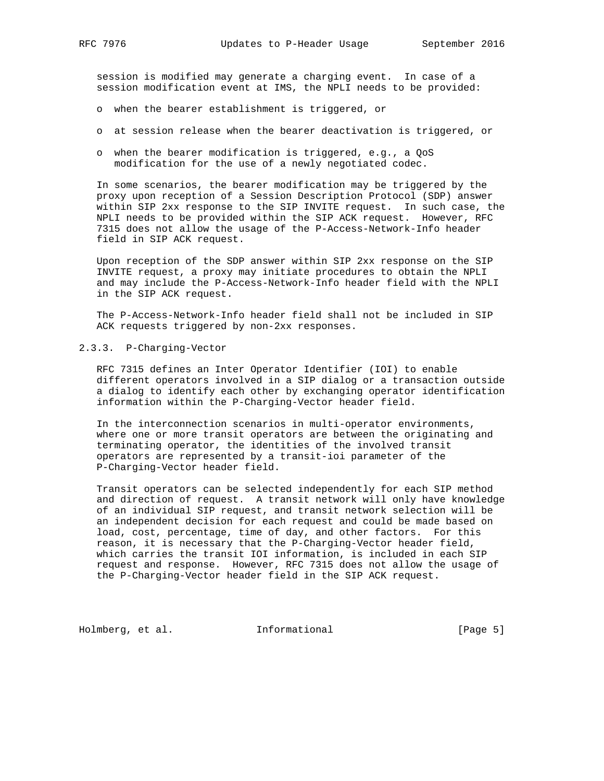session is modified may generate a charging event. In case of a session modification event at IMS, the NPLI needs to be provided:

- o when the bearer establishment is triggered, or
- o at session release when the bearer deactivation is triggered, or
- o when the bearer modification is triggered, e.g., a QoS modification for the use of a newly negotiated codec.

 In some scenarios, the bearer modification may be triggered by the proxy upon reception of a Session Description Protocol (SDP) answer within SIP 2xx response to the SIP INVITE request. In such case, the NPLI needs to be provided within the SIP ACK request. However, RFC 7315 does not allow the usage of the P-Access-Network-Info header field in SIP ACK request.

 Upon reception of the SDP answer within SIP 2xx response on the SIP INVITE request, a proxy may initiate procedures to obtain the NPLI and may include the P-Access-Network-Info header field with the NPLI in the SIP ACK request.

 The P-Access-Network-Info header field shall not be included in SIP ACK requests triggered by non-2xx responses.

## 2.3.3. P-Charging-Vector

 RFC 7315 defines an Inter Operator Identifier (IOI) to enable different operators involved in a SIP dialog or a transaction outside a dialog to identify each other by exchanging operator identification information within the P-Charging-Vector header field.

 In the interconnection scenarios in multi-operator environments, where one or more transit operators are between the originating and terminating operator, the identities of the involved transit operators are represented by a transit-ioi parameter of the P-Charging-Vector header field.

 Transit operators can be selected independently for each SIP method and direction of request. A transit network will only have knowledge of an individual SIP request, and transit network selection will be an independent decision for each request and could be made based on load, cost, percentage, time of day, and other factors. For this reason, it is necessary that the P-Charging-Vector header field, which carries the transit IOI information, is included in each SIP request and response. However, RFC 7315 does not allow the usage of the P-Charging-Vector header field in the SIP ACK request.

Holmberg, et al. 1nformational 1999 [Page 5]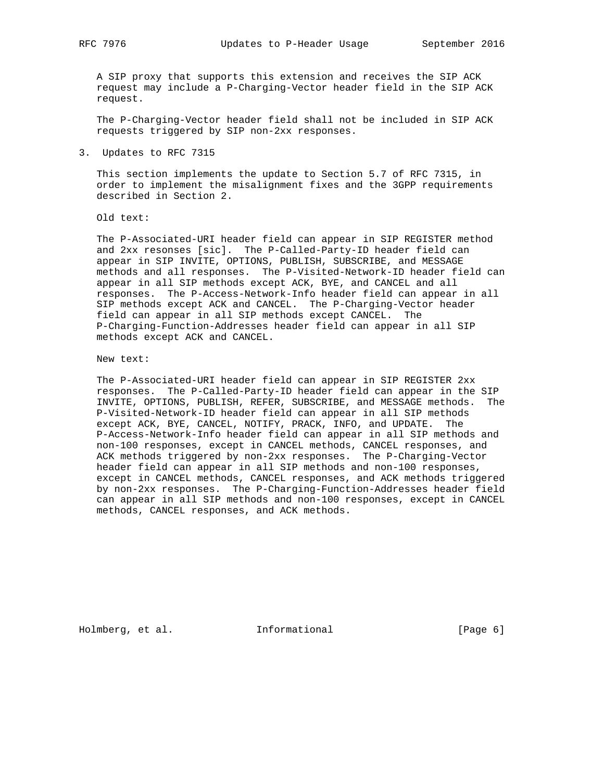A SIP proxy that supports this extension and receives the SIP ACK request may include a P-Charging-Vector header field in the SIP ACK request.

 The P-Charging-Vector header field shall not be included in SIP ACK requests triggered by SIP non-2xx responses.

3. Updates to RFC 7315

 This section implements the update to Section 5.7 of RFC 7315, in order to implement the misalignment fixes and the 3GPP requirements described in Section 2.

Old text:

 The P-Associated-URI header field can appear in SIP REGISTER method and 2xx resonses [sic]. The P-Called-Party-ID header field can appear in SIP INVITE, OPTIONS, PUBLISH, SUBSCRIBE, and MESSAGE methods and all responses. The P-Visited-Network-ID header field can appear in all SIP methods except ACK, BYE, and CANCEL and all responses. The P-Access-Network-Info header field can appear in all SIP methods except ACK and CANCEL. The P-Charging-Vector header field can appear in all SIP methods except CANCEL. The P-Charging-Function-Addresses header field can appear in all SIP methods except ACK and CANCEL.

New text:

 The P-Associated-URI header field can appear in SIP REGISTER 2xx responses. The P-Called-Party-ID header field can appear in the SIP INVITE, OPTIONS, PUBLISH, REFER, SUBSCRIBE, and MESSAGE methods. The P-Visited-Network-ID header field can appear in all SIP methods except ACK, BYE, CANCEL, NOTIFY, PRACK, INFO, and UPDATE. The P-Access-Network-Info header field can appear in all SIP methods and non-100 responses, except in CANCEL methods, CANCEL responses, and ACK methods triggered by non-2xx responses. The P-Charging-Vector header field can appear in all SIP methods and non-100 responses, except in CANCEL methods, CANCEL responses, and ACK methods triggered by non-2xx responses. The P-Charging-Function-Addresses header field can appear in all SIP methods and non-100 responses, except in CANCEL methods, CANCEL responses, and ACK methods.

Holmberg, et al. 1nformational 1999 [Page 6]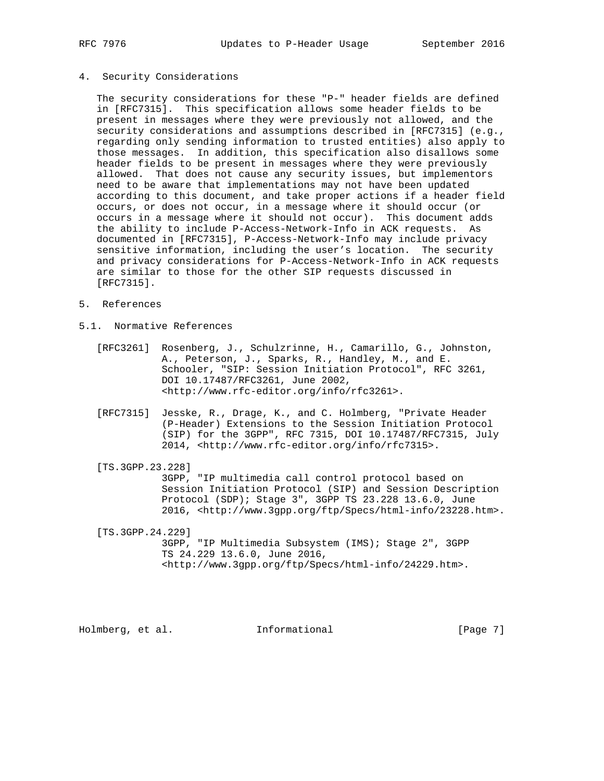#### 4. Security Considerations

 The security considerations for these "P-" header fields are defined in [RFC7315]. This specification allows some header fields to be present in messages where they were previously not allowed, and the security considerations and assumptions described in [RFC7315] (e.g., regarding only sending information to trusted entities) also apply to those messages. In addition, this specification also disallows some header fields to be present in messages where they were previously allowed. That does not cause any security issues, but implementors need to be aware that implementations may not have been updated according to this document, and take proper actions if a header field occurs, or does not occur, in a message where it should occur (or occurs in a message where it should not occur). This document adds the ability to include P-Access-Network-Info in ACK requests. As documented in [RFC7315], P-Access-Network-Info may include privacy sensitive information, including the user's location. The security and privacy considerations for P-Access-Network-Info in ACK requests are similar to those for the other SIP requests discussed in [RFC7315].

- 5. References
- 5.1. Normative References
	- [RFC3261] Rosenberg, J., Schulzrinne, H., Camarillo, G., Johnston, A., Peterson, J., Sparks, R., Handley, M., and E. Schooler, "SIP: Session Initiation Protocol", RFC 3261, DOI 10.17487/RFC3261, June 2002, <http://www.rfc-editor.org/info/rfc3261>.
	- [RFC7315] Jesske, R., Drage, K., and C. Holmberg, "Private Header (P-Header) Extensions to the Session Initiation Protocol (SIP) for the 3GPP", RFC 7315, DOI 10.17487/RFC7315, July 2014, <http://www.rfc-editor.org/info/rfc7315>.
	- [TS.3GPP.23.228]

 3GPP, "IP multimedia call control protocol based on Session Initiation Protocol (SIP) and Session Description Protocol (SDP); Stage 3", 3GPP TS 23.228 13.6.0, June 2016, <http://www.3gpp.org/ftp/Specs/html-info/23228.htm>.

 [TS.3GPP.24.229] 3GPP, "IP Multimedia Subsystem (IMS); Stage 2", 3GPP TS 24.229 13.6.0, June 2016, <http://www.3gpp.org/ftp/Specs/html-info/24229.htm>.

Holmberg, et al. 1nformational 1999 [Page 7]